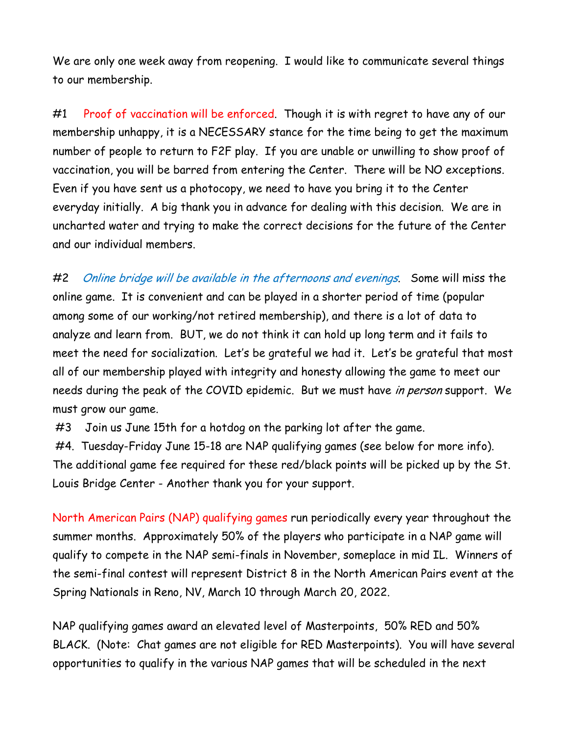We are only one week away from reopening. I would like to communicate several things to our membership.

#1 Proof of vaccination will be enforced. Though it is with regret to have any of our membership unhappy, it is a NECESSARY stance for the time being to get the maximum number of people to return to F2F play. If you are unable or unwilling to show proof of vaccination, you will be barred from entering the Center. There will be NO exceptions. Even if you have sent us a photocopy, we need to have you bring it to the Center everyday initially. A big thank you in advance for dealing with this decision. We are in uncharted water and trying to make the correct decisions for the future of the Center and our individual members.

#2 Online bridge will be available in the afternoons and evenings. Some will miss the online game. It is convenient and can be played in a shorter period of time (popular among some of our working/not retired membership), and there is a lot of data to analyze and learn from. BUT, we do not think it can hold up long term and it fails to meet the need for socialization. Let's be grateful we had it. Let's be grateful that most all of our membership played with integrity and honesty allowing the game to meet our needs during the peak of the COVID epidemic. But we must have in person support. We must grow our game.

#3 Join us June 15th for a hotdog on the parking lot after the game.

#4. Tuesday-Friday June 15-18 are NAP qualifying games (see below for more info). The additional game fee required for these red/black points will be picked up by the St. Louis Bridge Center - Another thank you for your support.

North American Pairs (NAP) qualifying games run periodically every year throughout the summer months. Approximately 50% of the players who participate in a NAP game will qualify to compete in the NAP semi-finals in November, someplace in mid IL. Winners of the semi-final contest will represent District 8 in the North American Pairs event at the Spring Nationals in Reno, NV, March 10 through March 20, 2022.

NAP qualifying games award an elevated level of Masterpoints, 50% RED and 50% BLACK. (Note: Chat games are not eligible for RED Masterpoints). You will have several opportunities to qualify in the various NAP games that will be scheduled in the next